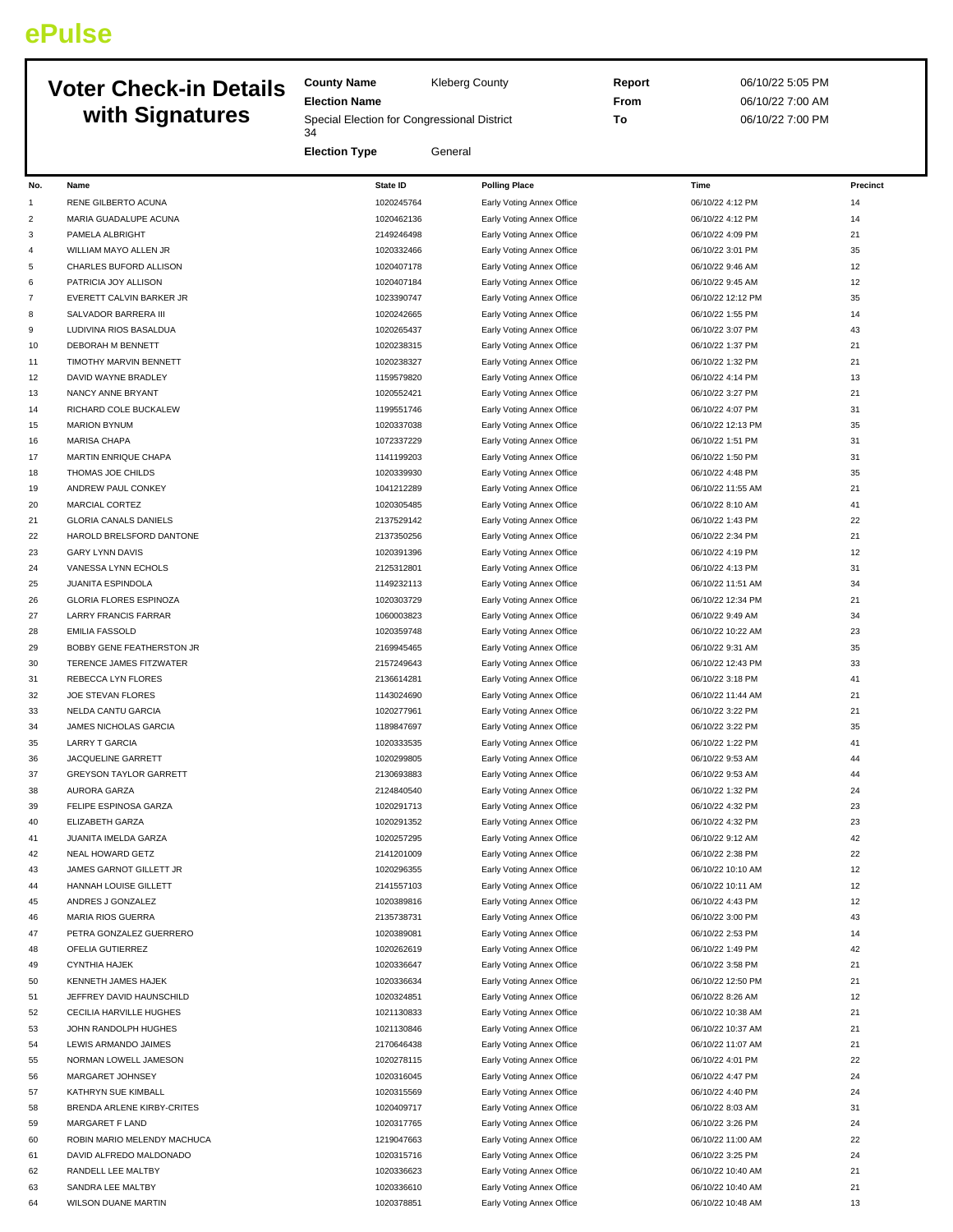## **ePulse**

## **Voter Check-in Details with Signatures**

**County Name** Kleberg County **Election Name** Special Election for Congressional District 

**Election Type** General

**Report** 06/10/22 5:05 PM **From** 06/10/22 7:00 AM **To** 06/10/22 7:00 PM

| No.            | Name                                            | <b>State ID</b>          | <b>Polling Place</b>                                   | Time                                 | Precinct |
|----------------|-------------------------------------------------|--------------------------|--------------------------------------------------------|--------------------------------------|----------|
| $\mathbf{1}$   | RENE GILBERTO ACUNA                             | 1020245764               | Early Voting Annex Office                              | 06/10/22 4:12 PM                     | 14       |
| $\overline{c}$ | MARIA GUADALUPE ACUNA                           | 1020462136               | Early Voting Annex Office                              | 06/10/22 4:12 PM                     | 14       |
| 3              | PAMELA ALBRIGHT                                 | 2149246498               | Early Voting Annex Office                              | 06/10/22 4:09 PM                     | 21       |
| 4              | WILLIAM MAYO ALLEN JR                           | 1020332466               | Early Voting Annex Office                              | 06/10/22 3:01 PM                     | 35       |
| 5              | CHARLES BUFORD ALLISON                          | 1020407178               | Early Voting Annex Office                              | 06/10/22 9:46 AM                     | 12       |
| 6              | PATRICIA JOY ALLISON                            | 1020407184               | Early Voting Annex Office                              | 06/10/22 9:45 AM                     | 12       |
| $\overline{7}$ | EVERETT CALVIN BARKER JR                        | 1023390747               | Early Voting Annex Office                              | 06/10/22 12:12 PM                    | 35       |
| 8              | SALVADOR BARRERA III                            | 1020242665               | Early Voting Annex Office                              | 06/10/22 1:55 PM                     | 14       |
| 9              | LUDIVINA RIOS BASALDUA                          | 1020265437               | Early Voting Annex Office                              | 06/10/22 3:07 PM                     | 43       |
| 10             | DEBORAH M BENNETT                               | 1020238315               | Early Voting Annex Office                              | 06/10/22 1:37 PM                     | 21       |
| 11             | TIMOTHY MARVIN BENNETT                          | 1020238327               | Early Voting Annex Office                              | 06/10/22 1:32 PM                     | 21       |
| 12             | DAVID WAYNE BRADLEY                             | 1159579820               | Early Voting Annex Office                              | 06/10/22 4:14 PM                     | 13       |
| 13             | NANCY ANNE BRYANT                               | 1020552421               | Early Voting Annex Office                              | 06/10/22 3:27 PM                     | 21       |
| 14             | RICHARD COLE BUCKALEW                           | 1199551746               | Early Voting Annex Office                              | 06/10/22 4:07 PM                     | 31       |
| 15             | <b>MARION BYNUM</b>                             | 1020337038               | Early Voting Annex Office                              | 06/10/22 12:13 PM                    | 35       |
| 16             | <b>MARISA CHAPA</b>                             | 1072337229               | Early Voting Annex Office                              | 06/10/22 1:51 PM                     | 31       |
| 17             | MARTIN ENRIQUE CHAPA<br>THOMAS JOE CHILDS       | 1141199203<br>1020339930 | Early Voting Annex Office                              | 06/10/22 1:50 PM<br>06/10/22 4:48 PM | 31<br>35 |
| 18<br>19       | ANDREW PAUL CONKEY                              | 1041212289               | Early Voting Annex Office                              | 06/10/22 11:55 AM                    | 21       |
| 20             | MARCIAL CORTEZ                                  | 1020305485               | Early Voting Annex Office<br>Early Voting Annex Office | 06/10/22 8:10 AM                     | 41       |
| 21             | <b>GLORIA CANALS DANIELS</b>                    | 2137529142               | Early Voting Annex Office                              | 06/10/22 1:43 PM                     | 22       |
| 22             | HAROLD BRELSFORD DANTONE                        | 2137350256               | Early Voting Annex Office                              | 06/10/22 2:34 PM                     | 21       |
| 23             | <b>GARY LYNN DAVIS</b>                          | 1020391396               | Early Voting Annex Office                              | 06/10/22 4:19 PM                     | 12       |
| 24             | VANESSA LYNN ECHOLS                             | 2125312801               | Early Voting Annex Office                              | 06/10/22 4:13 PM                     | 31       |
| 25             | JUANITA ESPINDOLA                               | 1149232113               | Early Voting Annex Office                              | 06/10/22 11:51 AM                    | 34       |
| 26             | <b>GLORIA FLORES ESPINOZA</b>                   | 1020303729               | Early Voting Annex Office                              | 06/10/22 12:34 PM                    | 21       |
| 27             | <b>LARRY FRANCIS FARRAR</b>                     | 1060003823               | Early Voting Annex Office                              | 06/10/22 9:49 AM                     | 34       |
| 28             | <b>EMILIA FASSOLD</b>                           | 1020359748               | Early Voting Annex Office                              | 06/10/22 10:22 AM                    | 23       |
| 29             | BOBBY GENE FEATHERSTON JR                       | 2169945465               | Early Voting Annex Office                              | 06/10/22 9:31 AM                     | 35       |
| 30             | TERENCE JAMES FITZWATER                         | 2157249643               | Early Voting Annex Office                              | 06/10/22 12:43 PM                    | 33       |
| 31             | REBECCA LYN FLORES                              | 2136614281               | Early Voting Annex Office                              | 06/10/22 3:18 PM                     | 41       |
| 32             | JOE STEVAN FLORES                               | 1143024690               | Early Voting Annex Office                              | 06/10/22 11:44 AM                    | 21       |
| 33             | NELDA CANTU GARCIA                              | 1020277961               | Early Voting Annex Office                              | 06/10/22 3:22 PM                     | 21       |
| 34             | JAMES NICHOLAS GARCIA                           | 1189847697               | Early Voting Annex Office                              | 06/10/22 3:22 PM                     | 35       |
| 35             | <b>LARRY T GARCIA</b>                           | 1020333535               | Early Voting Annex Office                              | 06/10/22 1:22 PM                     | 41       |
| 36             | JACQUELINE GARRETT                              | 1020299805               | Early Voting Annex Office                              | 06/10/22 9:53 AM                     | 44       |
| 37             | <b>GREYSON TAYLOR GARRETT</b>                   | 2130693883               | Early Voting Annex Office                              | 06/10/22 9:53 AM                     | 44       |
| 38             | AURORA GARZA                                    | 2124840540               | Early Voting Annex Office                              | 06/10/22 1:32 PM                     | 24       |
| 39             | FELIPE ESPINOSA GARZA                           | 1020291713               | Early Voting Annex Office                              | 06/10/22 4:32 PM                     | 23       |
| 40             | ELIZABETH GARZA                                 | 1020291352               | Early Voting Annex Office                              | 06/10/22 4:32 PM<br>06/10/22 9:12 AM | 23<br>42 |
| 41<br>42       | JUANITA IMELDA GARZA<br><b>NEAL HOWARD GETZ</b> | 1020257295<br>2141201009 | Early Voting Annex Office<br>Early Voting Annex Office | 06/10/22 2:38 PM                     | 22       |
| 43             | JAMES GARNOT GILLETT JR                         | 1020296355               | Early Voting Annex Office                              | 06/10/22 10:10 AM                    | 12       |
| 44             | HANNAH LOUISE GILLETT                           | 2141557103               | Early Voting Annex Office                              | 06/10/22 10:11 AM                    | 12       |
| 45             | ANDRES J GONZALEZ                               | 1020389816               | Early Voting Annex Office                              | 06/10/22 4:43 PM                     | 12       |
| 46             | MARIA RIOS GUERRA                               | 2135738731               | Early Voting Annex Office                              | 06/10/22 3:00 PM                     | 43       |
| 47             | PETRA GONZALEZ GUERRERO                         | 1020389081               | Early Voting Annex Office                              | 06/10/22 2:53 PM                     | 14       |
| 48             | OFELIA GUTIERREZ                                | 1020262619               | Early Voting Annex Office                              | 06/10/22 1:49 PM                     | 42       |
| 49             | <b>CYNTHIA HAJEK</b>                            | 1020336647               | Early Voting Annex Office                              | 06/10/22 3:58 PM                     | 21       |
| 50             | KENNETH JAMES HAJEK                             | 1020336634               | Early Voting Annex Office                              | 06/10/22 12:50 PM                    | 21       |
| 51             | JEFFREY DAVID HAUNSCHILD                        | 1020324851               | Early Voting Annex Office                              | 06/10/22 8:26 AM                     | 12       |
| 52             | CECILIA HARVILLE HUGHES                         | 1021130833               | Early Voting Annex Office                              | 06/10/22 10:38 AM                    | 21       |
| 53             | JOHN RANDOLPH HUGHES                            | 1021130846               | Early Voting Annex Office                              | 06/10/22 10:37 AM                    | 21       |
| 54             | LEWIS ARMANDO JAIMES                            | 2170646438               | Early Voting Annex Office                              | 06/10/22 11:07 AM                    | 21       |
| 55             | NORMAN LOWELL JAMESON                           | 1020278115               | Early Voting Annex Office                              | 06/10/22 4:01 PM                     | 22       |
| 56             | MARGARET JOHNSEY                                | 1020316045               | Early Voting Annex Office                              | 06/10/22 4:47 PM                     | 24       |
| 57             | KATHRYN SUE KIMBALL                             | 1020315569               | Early Voting Annex Office                              | 06/10/22 4:40 PM                     | 24       |
| 58             | BRENDA ARLENE KIRBY-CRITES                      | 1020409717               | Early Voting Annex Office                              | 06/10/22 8:03 AM                     | 31       |
| 59             | MARGARET F LAND                                 | 1020317765               | Early Voting Annex Office                              | 06/10/22 3:26 PM                     | 24       |
| 60             | ROBIN MARIO MELENDY MACHUCA                     | 1219047663               | Early Voting Annex Office                              | 06/10/22 11:00 AM                    | 22       |
| 61             | DAVID ALFREDO MALDONADO                         | 1020315716               | Early Voting Annex Office                              | 06/10/22 3:25 PM                     | 24       |
| 62             | RANDELL LEE MALTBY                              | 1020336623               | Early Voting Annex Office                              | 06/10/22 10:40 AM                    | 21       |
| 63             | SANDRA LEE MALTBY                               | 1020336610               | Early Voting Annex Office                              | 06/10/22 10:40 AM                    | 21       |

64 WILSON DUANE MARTIN 13 13